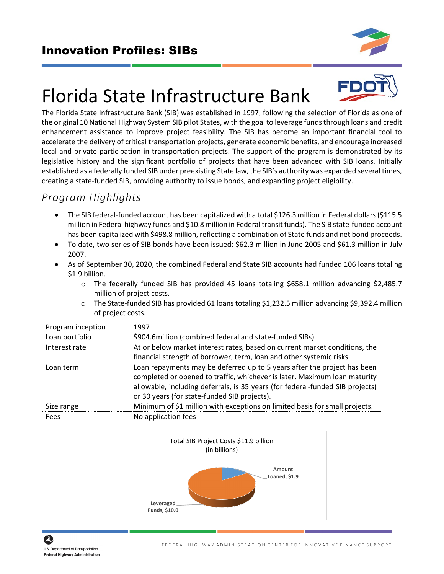

# Florida State Infrastructure Bank



The Florida State Infrastructure Bank (SIB) was established in 1997, following the selection of Florida as one of the original 10 National Highway System SIB pilot States, with the goal to leverage funds through loans and credit enhancement assistance to improve project feasibility. The SIB has become an important financial tool to accelerate the delivery of critical transportation projects, generate economic benefits, and encourage increased local and private participation in transportation projects. The support of the program is demonstrated by its legislative history and the significant portfolio of projects that have been advanced with SIB loans. Initially established as a federally funded SIB under preexisting State law, the SIB's authority was expanded several times, creating a state-funded SIB, providing authority to issue bonds, and expanding project eligibility.

# *Program Highlights*

- The SIB federal-funded account has been capitalized with a total \$126.3 million in Federal dollars (\$115.5 million in Federal highway funds and \$10.8 million in Federal transit funds). The SIB state-funded account has been capitalized with \$498.8 million, reflecting a combination of State funds and net bond proceeds.
- To date, two series of SIB bonds have been issued: \$62.3 million in June 2005 and \$61.3 million in July 2007.
- As of September 30, 2020, the combined Federal and State SIB accounts had funded 106 loans totaling \$1.9 billion.
	- $\circ$  The federally funded SIB has provided 45 loans totaling \$658.1 million advancing \$2,485.7 million of project costs.
	- $\circ$  The State-funded SIB has provided 61 loans totaling \$1,232.5 million advancing \$9,392.4 million of project costs.

| Program inception | 1997                                                                          |
|-------------------|-------------------------------------------------------------------------------|
| Loan portfolio    | \$904.6 million (combined federal and state-funded SIBs)                      |
| Interest rate     | At or below market interest rates, based on current market conditions, the    |
|                   | financial strength of borrower, term, loan and other systemic risks.          |
| Loan term         | Loan repayments may be deferred up to 5 years after the project has been      |
|                   | completed or opened to traffic, whichever is later. Maximum loan maturity     |
|                   | allowable, including deferrals, is 35 years (for federal-funded SIB projects) |
|                   | or 30 years (for state-funded SIB projects).                                  |
| Size range        | Minimum of \$1 million with exceptions on limited basis for small projects.   |
| Fees              | No application fees                                                           |